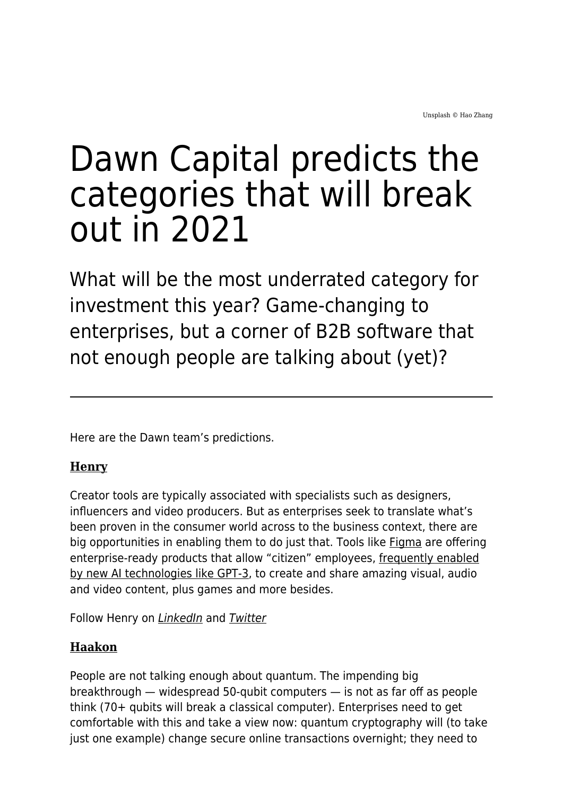# Dawn Capital predicts the categories that will break out in 2021

What will be the most underrated category for investment this year? Game-changing to enterprises, but a corner of B2B software that not enough people are talking about (yet)?

Here are the Dawn team's predictions.

#### **[Henry](http://dawncapital.com/team/henry-mason/)**

Creator tools are typically associated with specialists such as designers, influencers and video producers. But as enterprises seek to translate what's been proven in the consumer world across to the business context, there are big opportunities in enabling them to do just that. Tools like [Figma](https://www.figma.com/) are offering enterprise-ready products that allow "citizen" employees, [frequently enabled](https://analyticsindiamag.com/open-ai-gpt-3-code-generator-app-building/) [by new AI technologies like GPT-3](https://analyticsindiamag.com/open-ai-gpt-3-code-generator-app-building/), to create and share amazing visual, audio and video content, plus games and more besides.

Follow Henry on *[LinkedIn](https://www.linkedin.com/in/henry-mason/)* and **[Twitter](https://twitter.com/henmasn)** 

## **[Haakon](http://dawncapital.com/team/haakon-overli/)**

People are not talking enough about quantum. The impending big breakthrough — widespread 50-qubit computers — is not as far off as people think (70+ qubits will break a classical computer). Enterprises need to get comfortable with this and take a view now: quantum cryptography will (to take just one example) change secure online transactions overnight; they need to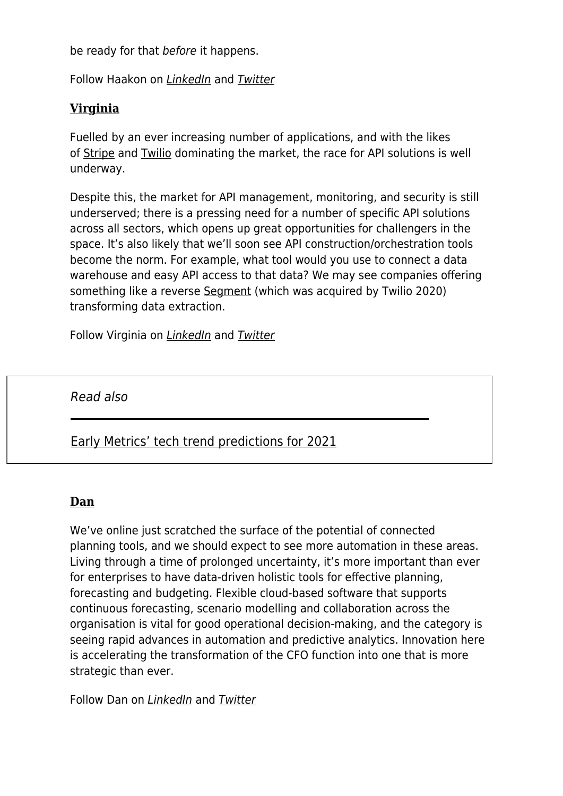be ready for that before it happens.

Follow Haakon on [LinkedIn](https://www.linkedin.com/in/haakon-overli-299125/) and [Twitter](https://twitter.com/HaakonOverli)

## **[Virginia](http://dawncapital.com/team/virginia-pozzato/)**

Fuelled by an ever increasing number of applications, and with the likes of [Stripe](https://stripe.com/gb?utm_campaign=paid_brand-UK_en_Search_Brand_Stripe-2032860449&utm_medium=cpc&utm_source=google&ad_content=355351450265&utm_term=stripe&utm_matchtype=e&utm_adposition=&utm_device=c&gclid=Cj0KCQiArvX_BRCyARIsAKsnTxPhfYc2YBnGMK7Jt9qDU-bWipaE3f2DIrDd0-GtIkZFGun3R7D0IRgaAtfcEALw_wcB) and [Twilio](https://www.twilio.com/help/sales) dominating the market, the race for API solutions is well underway.

Despite this, the market for API management, monitoring, and security is still underserved; there is a pressing need for a number of specific API solutions across all sectors, which opens up great opportunities for challengers in the space. It's also likely that we'll soon see API construction/orchestration tools become the norm. For example, what tool would you use to connect a data warehouse and easy API access to that data? We may see companies offering something like a reverse [Segment](https://segment.com/) (which was acquired by Twilio 2020) transforming data extraction.

Follow Virginia on *[LinkedIn](https://www.linkedin.com/in/virginia-pozzato-7b8802100/)* and **[Twitter](https://twitter.com/VirgiPozzato)** 

Read also

[Early Metrics' tech trend predictions for 2021](https://www.maddyness.com/uk/2021/02/02/early-metrics-tech-trend-predictions-for-2021/)

#### **[Dan](http://dawncapital.com/team/dan-chaplin/)**

We've online just scratched the surface of the potential of connected planning tools, and we should expect to see more automation in these areas. Living through a time of prolonged uncertainty, it's more important than ever for enterprises to have data-driven holistic tools for effective planning, forecasting and budgeting. Flexible cloud-based software that supports continuous forecasting, scenario modelling and collaboration across the organisation is vital for good operational decision-making, and the category is seeing rapid advances in automation and predictive analytics. Innovation here is accelerating the transformation of the CFO function into one that is more strategic than ever.

Follow Dan on [LinkedIn](https://www.linkedin.com/in/dan-chaplin/) and [Twitter](https://twitter.com/dc_chaplin)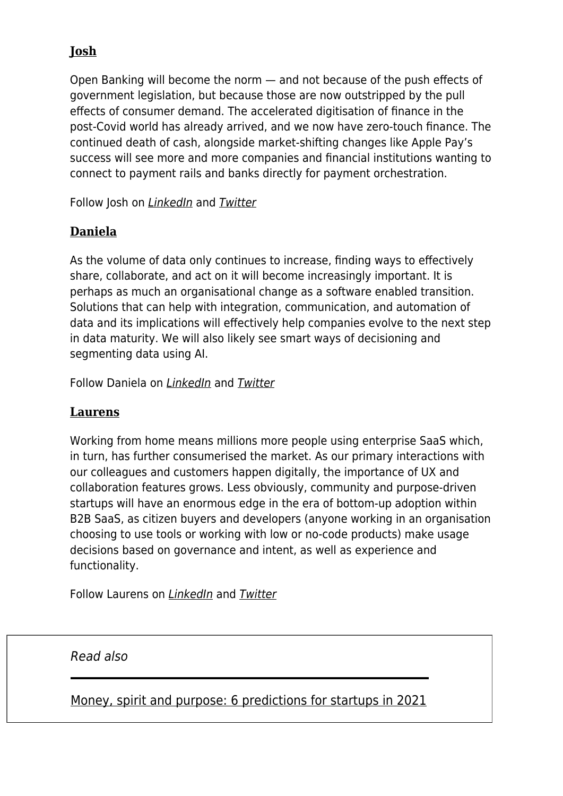## **[Josh](http://dawncapital.com/team/josh-bell/)**

Open Banking will become the norm — and not because of the push effects of government legislation, but because those are now outstripped by the pull effects of consumer demand. The accelerated digitisation of finance in the post-Covid world has already arrived, and we now have zero-touch finance. The continued death of cash, alongside market-shifting changes like Apple Pay's success will see more and more companies and financial institutions wanting to connect to payment rails and banks directly for payment orchestration.

Follow Josh on [LinkedIn](https://www.linkedin.com/in/joshbell/) and [Twitter](https://twitter.com/joshbell)

## **[Daniela](http://dawncapital.com/team/daniela/)**

As the volume of data only continues to increase, finding ways to effectively share, collaborate, and act on it will become increasingly important. It is perhaps as much an organisational change as a software enabled transition. Solutions that can help with integration, communication, and automation of data and its implications will effectively help companies evolve to the next step in data maturity. We will also likely see smart ways of decisioning and segmenting data using AI.

Follow Daniela on [LinkedIn](https://www.linkedin.com/in/daniela-raffel-torrebiarte-0042a280/) and [Twitter](https://twitter.com/DanielaRaffel)

## **[Laurens](http://dawncapital.com/team/laurens-de-poorter/)**

Working from home means millions more people using enterprise SaaS which, in turn, has further consumerised the market. As our primary interactions with our colleagues and customers happen digitally, the importance of UX and collaboration features grows. Less obviously, community and purpose-driven startups will have an enormous edge in the era of bottom-up adoption within B2B SaaS, as citizen buyers and developers (anyone working in an organisation choosing to use tools or working with low or no-code products) make usage decisions based on governance and intent, as well as experience and functionality.

Follow Laurens on [LinkedIn](https://www.linkedin.com/in/ldepoorter/) and [Twitter](https://twitter.com/laurensdp)

Read also

[Money, spirit and purpose: 6 predictions for startups in 2021](https://www.maddyness.com/uk/2021/01/06/money-spirit-and-purpose-6-predictions-for-startups-in-2021/)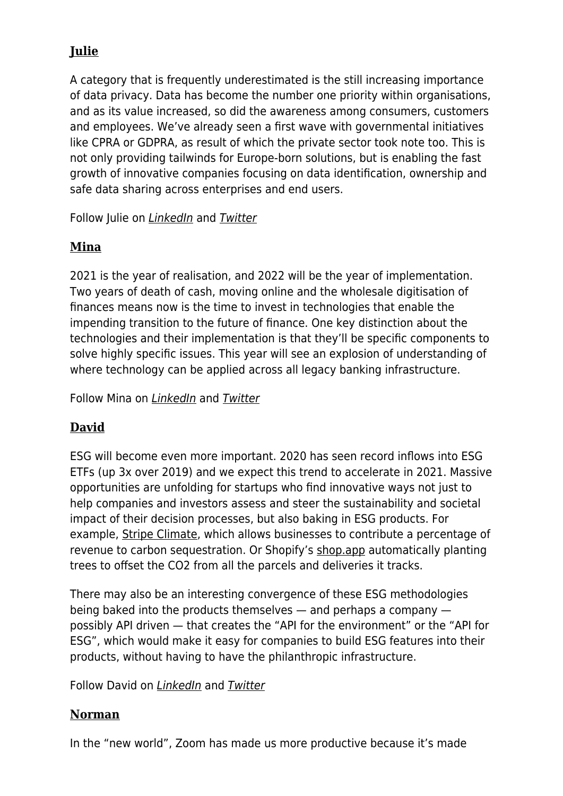# **[Julie](http://dawncapital.com/team/julie-kainz/)**

A category that is frequently underestimated is the still increasing importance of data privacy. Data has become the number one priority within organisations, and as its value increased, so did the awareness among consumers, customers and employees. We've already seen a first wave with governmental initiatives like CPRA or GDPRA, as result of which the private sector took note too. This is not only providing tailwinds for Europe-born solutions, but is enabling the fast growth of innovative companies focusing on data identification, ownership and safe data sharing across enterprises and end users.

Follow Julie on [LinkedIn](https://www.linkedin.com/in/juliekainz/) and [Twitter](https://twitter.com/JulieKainz)

## **[Mina](http://dawncapital.com/team/mina-mutafchieva/)**

2021 is the year of realisation, and 2022 will be the year of implementation. Two years of death of cash, moving online and the wholesale digitisation of finances means now is the time to invest in technologies that enable the impending transition to the future of finance. One key distinction about the technologies and their implementation is that they'll be specific components to solve highly specific issues. This year will see an explosion of understanding of where technology can be applied across all legacy banking infrastructure.

Follow Mina on [LinkedIn](https://www.linkedin.com/in/mina-mutafchieva-van-ingelgem-38353619/) and [Twitter](https://twitter.com/Mina_MVI)

## **[David](http://dawncapital.com/team/david-arndt/)**

ESG will become even more important. 2020 has seen record inflows into ESG ETFs (up 3x over 2019) and we expect this trend to accelerate in 2021. Massive opportunities are unfolding for startups who find innovative ways not just to help companies and investors assess and steer the sustainability and societal impact of their decision processes, but also baking in ESG products. For example, [Stripe Climate,](https://stripe.com/climate) which allows businesses to contribute a percentage of revenue to carbon sequestration. Or Shopify's [shop.app](https://shop.app/) automatically planting trees to offset the CO2 from all the parcels and deliveries it tracks.

There may also be an interesting convergence of these ESG methodologies being baked into the products themselves — and perhaps a company possibly API driven — that creates the "API for the environment" or the "API for ESG", which would make it easy for companies to build ESG features into their products, without having to have the philanthropic infrastructure.

Follow David on *[LinkedIn](https://www.linkedin.com/in/arndt-david/)* and **[Twitter](https://twitter.com/jdavidarndt)** 

#### **[Norman](http://dawncapital.com/team/norman-fiore/)**

In the "new world", Zoom has made us more productive because it's made